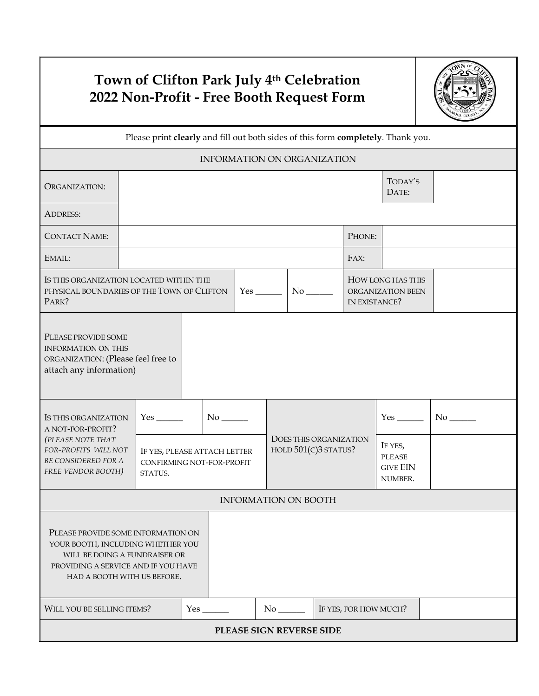## **Town of Clifton Park July 4th Celebration 2022 Non-Profit - Free Booth Request Form**



Please print **clearly** and fill out both sides of this form **completely**. Thank you.

| <b>INFORMATION ON ORGANIZATION</b>                                                                                                                                             |                                                                      |  |                                                       |  |  |                                                        |                       |                                                         |                          |  |  |
|--------------------------------------------------------------------------------------------------------------------------------------------------------------------------------|----------------------------------------------------------------------|--|-------------------------------------------------------|--|--|--------------------------------------------------------|-----------------------|---------------------------------------------------------|--------------------------|--|--|
| <b>ORGANIZATION:</b>                                                                                                                                                           |                                                                      |  |                                                       |  |  |                                                        |                       |                                                         | TODAY'S<br>DATE:         |  |  |
| <b>ADDRESS:</b>                                                                                                                                                                |                                                                      |  |                                                       |  |  |                                                        |                       |                                                         |                          |  |  |
| <b>CONTACT NAME:</b>                                                                                                                                                           |                                                                      |  |                                                       |  |  |                                                        |                       | PHONE:                                                  |                          |  |  |
| EMAIL:                                                                                                                                                                         | FAX:                                                                 |  |                                                       |  |  |                                                        |                       |                                                         |                          |  |  |
| IS THIS ORGANIZATION LOCATED WITHIN THE<br>PHYSICAL BOUNDARIES OF THE TOWN OF CLIFTON<br>$Yes$ <sub>________</sub><br>PARK?                                                    |                                                                      |  |                                                       |  |  |                                                        |                       | HOW LONG HAS THIS<br>ORGANIZATION BEEN<br>IN EXISTANCE? |                          |  |  |
| PLEASE PROVIDE SOME<br><b>INFORMATION ON THIS</b><br>ORGANIZATION: (Please feel free to<br>attach any information)                                                             |                                                                      |  |                                                       |  |  |                                                        |                       |                                                         |                          |  |  |
| IS THIS ORGANIZATION<br>A NOT-FOR-PROFIT?                                                                                                                                      | $Yes$ <sub>_______</sub><br>$No$ <sub>______</sub>                   |  |                                                       |  |  |                                                        |                       |                                                         | $Yes$ <sub>_______</sub> |  |  |
| (PLEASE NOTE THAT<br>FOR-PROFITS WILL NOT<br><b>BE CONSIDERED FOR A</b><br>FREE VENDOR BOOTH)                                                                                  | IF YES, PLEASE ATTACH LETTER<br>CONFIRMING NOT-FOR-PROFIT<br>STATUS. |  | <b>DOES THIS ORGANIZATION</b><br>HOLD 501(C)3 STATUS? |  |  | IF YES,<br><b>PLEASE</b><br><b>GIVE EIN</b><br>NUMBER. |                       |                                                         |                          |  |  |
| <b>INFORMATION ON BOOTH</b>                                                                                                                                                    |                                                                      |  |                                                       |  |  |                                                        |                       |                                                         |                          |  |  |
| PLEASE PROVIDE SOME INFORMATION ON<br>YOUR BOOTH, INCLUDING WHETHER YOU<br>WILL BE DOING A FUNDRAISER OR<br>PROVIDING A SERVICE AND IF YOU HAVE<br>HAD A BOOTH WITH US BEFORE. |                                                                      |  |                                                       |  |  |                                                        |                       |                                                         |                          |  |  |
| WILL YOU BE SELLING ITEMS?                                                                                                                                                     |                                                                      |  |                                                       |  |  |                                                        | IF YES, FOR HOW MUCH? |                                                         |                          |  |  |
| PLEASE SIGN REVERSE SIDE                                                                                                                                                       |                                                                      |  |                                                       |  |  |                                                        |                       |                                                         |                          |  |  |